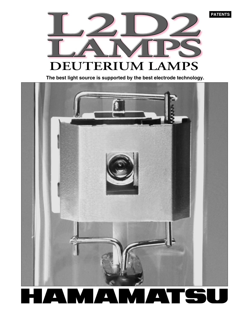**PATENTS** 



 **The best light source is supported by the best electrode technology.**

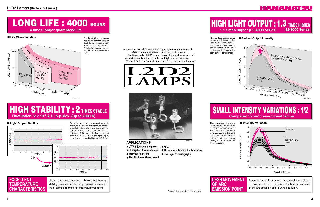**4 times longer guaranteed life** 



## **HIGH LIGHT OUTPUT : 1.3 TIMES HIGHER 1.1 times higher (L2-4000 series) (L2-2000 Series)**

## ■ Radiant Output Intensity

**HIGH STABILITY : 2 TIMES STABLE Fluctuation: 2** × **10-5 A.U. p-p Max. (up to 2000 h)**

## ■ **Light Output Stability**

Deuterium lamps used in analytical instruments. The Hamamatsu L2D2 lamps deliver high performance in all respects-operating life, stability and light output intensity. \*



**EXCELLENT TEMPERATURE CHARACTERISTICS**



## **SMALL INTENSITY VARIATIONS : 1/2 Compared to our conventional lamps**





- 
- **Atomic Absorption Spectrophotometers**
- **Thin Layer Chromatography**

- **UV-VIS Spectrophotometers**
- **CE(Capillary Electrophoresis)**
- **SOx/NOx Analyzers**
- **Film Thickness Measurement**

## **APPLICATIONS**

# **LONG LIFE : 4000 HOURS**

## HAMAMATSU

The L2-4000 series lamps

The L2-2000 series lamps produce 1.3 times higher light output than conventional lamps. The L2-4000 series lamps even offer light output 1.1 times higher than conventional lamps.







Use of a ceramic structure with excellent thermal stability ensures stable lamp operation even in the presence of ambient temperature variations.



The spacing between electrodes is kept fixed by a molded ceramic spacer. This reduces the lamp to lamp variations in the light output to one half of that obtained with our lamps having a conventional all metal structure.

> Since the ceramic structure has a small thermal expansion coefficient, there is virtually no movement of the arc emission point during operation.



By using a newly developed ceramic

Introducing the L2D2 lamps that open up a new generation of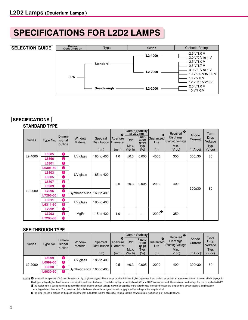## **SPECIFICATIONS FOR L2D2 LAMPS**

## **SELECTION GUIDE**



## **SPECIFICATIONS**

## **STANDARD TYPE**

| <b>Series</b> | Type No.       | Dimen-<br>sional<br>outline | Window<br><b>Material</b>    | Spectral<br><b>Distribution</b><br>(nm) | $\boldsymbol{\Omega}$<br>Aperture<br>Diameter<br>(mm) | <b>Drift</b><br>Max.<br>(%/h) | <b>Output Stability</b><br>at 230 nm<br>Fluctu-<br>ation<br>$(p-p)$<br>Typ.<br>$(\% )$ | $\bf \Theta$<br>Guaranteed<br>Life<br>(h) | $\bullet$<br>Required<br>Discharge<br>Starting Voltage<br>Min.<br>$(V$ dc) | Anode<br>Current<br>(mA dc) | Tube<br>Drop<br>Voltage<br>Typ.<br>$(V$ dc) |
|---------------|----------------|-----------------------------|------------------------------|-----------------------------------------|-------------------------------------------------------|-------------------------------|----------------------------------------------------------------------------------------|-------------------------------------------|----------------------------------------------------------------------------|-----------------------------|---------------------------------------------|
| L2-4000       | L6565<br>L6566 | ❶<br>2                      | UV glass                     | 185 to 400                              | 1.0                                                   | ±0.3                          | 0.005                                                                                  | 4000                                      | 350                                                                        | 300±30                      | 80                                          |
|               | L6301          | 0                           | UV glass                     |                                         | 0.5                                                   | ±0.3                          | 0.005                                                                                  | 2000<br>400                               |                                                                            | $300 + 30$                  | 80                                          |
|               | L6301-50       | 9                           |                              | 185 to 400                              |                                                       |                               |                                                                                        |                                           |                                                                            |                             |                                             |
|               | L6303          | ❶                           |                              |                                         |                                                       |                               |                                                                                        |                                           |                                                                            |                             |                                             |
|               | L6305          | $\bullet$                   |                              |                                         |                                                       |                               |                                                                                        |                                           |                                                                            |                             |                                             |
|               | L6307          | 3                           |                              |                                         |                                                       |                               |                                                                                        |                                           |                                                                            |                             |                                             |
|               | L6309          | 3                           |                              |                                         |                                                       |                               |                                                                                        |                                           |                                                                            |                             |                                             |
| L2-2000       | L7296          | 6                           | Synthetic silica             | 160 to 400                              |                                                       |                               |                                                                                        |                                           |                                                                            |                             |                                             |
|               | L7296-50       | $\bullet$                   | UV glass<br>MgF <sub>2</sub> |                                         |                                                       |                               |                                                                                        |                                           |                                                                            |                             |                                             |
|               | L6311          | 4                           |                              | 185 to 400                              |                                                       |                               |                                                                                        |                                           |                                                                            |                             |                                             |
|               | L6311-50       | 8                           |                              |                                         |                                                       |                               |                                                                                        |                                           |                                                                            |                             |                                             |
|               | L7292          | 6                           |                              | 115 to 400                              |                                                       |                               |                                                                                        | $2000^\circ$                              | 350                                                                        |                             |                                             |
|               | L7293          | 6                           |                              |                                         | 1.0                                                   |                               |                                                                                        |                                           |                                                                            |                             |                                             |
|               | L7293-50       | <b>10</b>                   |                              |                                         |                                                       |                               |                                                                                        |                                           |                                                                            |                             |                                             |

### **SEE-THROUGH TYPE**

|                      |                                   |                                     |                    |                                     |               |               | Output Stability            |                                        | Required <sup>®</sup>         |                  |                         |
|----------------------|-----------------------------------|-------------------------------------|--------------------|-------------------------------------|---------------|---------------|-----------------------------|----------------------------------------|-------------------------------|------------------|-------------------------|
| <b>Series</b>        | Type No.                          | <b>Dimen-</b><br>sional<br>outlinel | Window<br>Material | Spectral<br>Distribution   Diameter | Ω<br>Aperture | <b>Drift</b>  | Fluctu-<br>ation<br>$(p-p)$ | $\bf \bm \Theta$<br>Guaranteed<br>Life | Discharge<br>Starting Voltage | Anode<br>Current | Tube<br>Drop<br>Voltage |
|                      |                                   |                                     |                    | (nm)                                | (mm)          | Max.<br>(%/h) | Typ.<br>(%)                 | (h)                                    | Min.<br>$(V$ dc)              | (mA dc)          | Typ.<br>$(V$ dc)        |
|                      |                                   |                                     |                    |                                     |               |               |                             |                                        |                               |                  |                         |
|                      | L6999                             | O                                   | UV glass           | 185 to 400                          |               |               |                             |                                        |                               |                  |                         |
| L <sub>2</sub> -2000 | L6999-50                          | $\bullet$                           |                    |                                     |               |               |                             |                                        |                               |                  |                         |
|                      | L9030                             | 6                                   |                    |                                     | 0.5           | ±0.3          | 0.005                       | 2000                                   | 400                           | $300 + 30$       | 80                      |
|                      | Synthetic silica<br>Ω<br>L9030-50 |                                     | 160 to 400         |                                     |               |               |                             |                                        |                               |                  |                         |

NOTE @Lamps with an aperture of 0.5 mm diameter are high brightness types. These lamps provide 1.4 times higher brightness than standard lamps with an aperture of 1.0 mm diameter. (Refer to page 8.) BA trigger voltage higher than this value is required to start lamp discharge. For reliable lighting, an application of 500 V to 600 V is recommended. The maximum rated voltage that can be applied is 650 V. CThe heater current during warming-up period is so high that the enough voltage may not be supplied to the lamp in case the cable between the lamp and the power supply is long because

of voltage drop at the cable. The power supply for the heater should be designed so as to supply specified voltage at the lamp terminal.

DThe lamp life end is defined as the point when the light output falls to 50 % of its initial value at 230 nm or when output fluctuation (p-p) exceeds 0.05 %.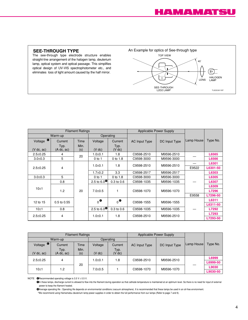### **SEE-THROUGH TYPE**

The see-through type electrode structure enables straight-line arrangement of the halogen lamp, deuterium lamp, optical system and optical passage. This simplifies optical design of UV-VIS spectrophotometer etc., and eliminates loss of light amount caused by the half mirror.



|                      |                            | <b>Filament Ratings</b> |                                            |                     | Applicable Power Supply |               |            |          |
|----------------------|----------------------------|-------------------------|--------------------------------------------|---------------------|-------------------------|---------------|------------|----------|
| Warm-up              |                            | Operating               |                                            |                     |                         |               |            |          |
| Voltage <sup>o</sup> | Current                    | Time                    | Voltage                                    | Current             | <b>AC Input Type</b>    | DC Input Type | Lamp House | Type No. |
| (V dc, ac)           | Typ.<br>$(A \, dc, \, ac)$ | Min.<br>(s)             | $(V$ dc)                                   | Typ.<br>$(V \, dc)$ |                         |               |            |          |
| $2.5 \pm 0.25$       | 4                          | 20                      | $1.0 + 0.1$                                | 1.8                 | C9598-2510              | M9596-2510    |            | L6565    |
| $3.0 \pm 0.3$        | 5                          |                         | $0$ to 1                                   | 0 to 1.8            | C9598-3000              | M9596-3000    |            | L6566    |
|                      |                            |                         | $1.0 + 0.1$                                | 1.8                 | C9598-2510              | M9596-2510    |            | L6301    |
| 4<br>$2.5 \pm 0.25$  |                            |                         |                                            |                     |                         | E9522         | L6301-50   |          |
|                      |                            |                         | $1.7 \pm 0.2$                              | 3.3                 | C9598-2517              | M9596-2517    |            | L6303    |
| $3.0 + 0.3$          | 5                          |                         | $0$ to 1                                   | 0 to 1.8            | C9598-3000              | M9596-3000    |            | L6305    |
|                      | 0.8                        |                         | 2.5 to 6.0 <sup><math>\bullet</math></sup> | $0.3$ to $0.6$      | C9598-1035              | M9596-1035    |            | L6307    |
| 10±1                 |                            |                         |                                            |                     |                         |               |            | L6309    |
|                      | 1.2                        | 20                      | $7.0 + 0.5$                                |                     | C9598-1070              | M9596-1070    |            | L7296    |
|                      |                            |                         |                                            |                     |                         |               | E9558      | L7296-50 |
| 12 to 15             | 0.5 to 0.55                |                         | $_0$ $\bullet$                             | $_0$ $\bullet$      | C9598-1555              | M9596-1555    |            | L6311    |
|                      |                            |                         |                                            |                     |                         |               |            | L6311-50 |
| 10±1                 | 0.8                        |                         | 2.5 to 6.0 <sup><math>\bullet</math></sup> | $0.3$ to $0.6$      | C9598-1035              | M9596-1035    |            | L7292    |
| $2.5 \pm 0.25$       | 4                          |                         | $1.0 + 0.1$                                | 1.8                 | C9598-2510              | M9596-2510    |            | L7293    |
|                      |                            |                         |                                            |                     |                         |               |            | L7293-50 |

|                      |                            | <b>Filament Ratings</b> |               | Applicable Power Supply |                      |                             |  |          |
|----------------------|----------------------------|-------------------------|---------------|-------------------------|----------------------|-----------------------------|--|----------|
| Warm-up              |                            |                         | Operating     |                         |                      |                             |  |          |
| $\bullet$<br>Voltage | Current                    | Time                    | Voltage       | Current                 | <b>AC Input Type</b> | Lamp House<br>DC Input Type |  | Type No. |
| (V dc, ac)           | Typ.<br>$(A \, dc, \, ac)$ | Min.<br>(s)             | $(V$ dc)      | Typ.<br>$(V$ dc)        |                      |                             |  |          |
| $2.5 \pm 0.25$       | 4                          |                         | $1.0 + 0.1$   | 1.8                     | C9598-2510           | M9596-2510                  |  | L6999    |
|                      |                            | 20                      |               |                         |                      |                             |  | L6999-50 |
| 10±1                 | 1.2                        |                         | $7.0 \pm 0.5$ |                         | C9598-1070           | M9596-1070                  |  | L9030    |
|                      |                            |                         |               |                         |                      |                             |  | L9030-50 |

NOTE **O**Recommended operating voltage is  $3.5 \text{ V} \pm 0.5 \text{ V}$ .

FIn these lamps, discharge current is allowed to flow into the filament during operation so that cathode temperature is maintained at an optimum level. So there is no need for input of external power to keep the filament heated.

GAverage operating life : Operating life depends on environmental conditions (vacuum atmosphere). It is recommended that these lamps be used in an oil-free environment.

\*We recommend using Hamamatsu deuterium lamp power supplies in order to obtain the full performance from our lamps (Refer to page 7 and 9).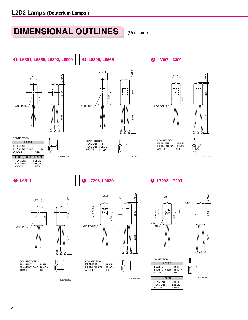## **DIMENSIONAL OUTLINES**

(Unit : mm)

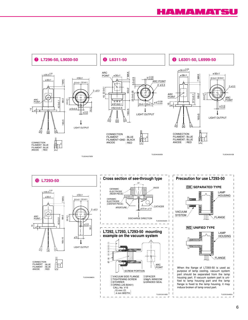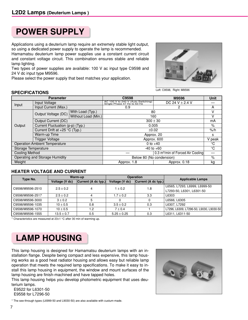## **POWER SUPPLY**

Applications using a deuterium lamp require an extremely stable light output, so using a dedicated power supply to operate the lamp is recommended.

Hamamatsu deuterium lamp power supplies use a constant current circuit and constant voltage circuit. This combination ensures stable and reliable lamp lighting.

Two types of power supplies are available: 100 V ac input type C9598 and 24 V dc input type M9596.

Please select the power supply that best matches your application.



### **SPECIFICATIONS**

|                                  | <b>Parameter</b>                     |                     | C9598                                                             | M9596               | Unit |  |  |
|----------------------------------|--------------------------------------|---------------------|-------------------------------------------------------------------|---------------------|------|--|--|
| Input Voltage                    |                                      |                     | AC 100 V to 240 V (Auto Switching)<br>Single Phase 47 Hz to 63 Hz | DC 24 V $\pm$ 2.4 V |      |  |  |
| Input                            | Input Current (Max.)                 |                     | 0.9                                                               | 2                   | А    |  |  |
|                                  | Output Voltage (DC)                  | With Load (Typ.)    | 80                                                                |                     | v    |  |  |
|                                  |                                      | Without Load (Min.) | 160                                                               |                     |      |  |  |
|                                  | Output Current (DC)                  |                     | $300 \pm 30$                                                      |                     | mA   |  |  |
| Output                           | Current Fluctuation (p-p) (Typ.)     |                     | 0.005                                                             | $\%$                |      |  |  |
| Current Drift at $+25$ °C (Typ.) |                                      |                     | ±0.02                                                             | $%$ /h              |      |  |  |
|                                  | Warm-up Time                         |                     | Approx. 20                                                        | s                   |      |  |  |
|                                  | <b>Trigger Voltage</b>               |                     | Approx. 600                                                       | V peak              |      |  |  |
|                                  | <b>Operation Ambient Temperature</b> |                     | 0 to $+40$                                                        |                     |      |  |  |
| Storage Temperature              |                                      |                     | $-40$ to $+60$                                                    | $^{\circ}$ C        |      |  |  |
| <b>Cooling Method</b>            |                                      |                     |                                                                   |                     |      |  |  |
|                                  | Operating and Storage Humidity       |                     | Below 80 (No condension)                                          |                     |      |  |  |
| Weight                           |                                      |                     | Approx. 1.8                                                       | Approx. 0.18        | kg   |  |  |

## **HEATER VOLTAGE AND CURRENT**

| Type No.         |                | Warm-up             |                 | <b>Operation</b>    | <b>Applicable Lamps</b>                 |  |
|------------------|----------------|---------------------|-----------------|---------------------|-----------------------------------------|--|
|                  | Voltage (V dc) | Current (A dc typ.) | Voltage (V dc)  | Current (A dc typ.) |                                         |  |
| C9598/M9596-2510 | $2.5 \pm 0.2$  | 4                   | $1 \pm 0.2$     | 1.8                 | L6565, L7293, L6999, L6999-50           |  |
|                  |                |                     |                 |                     | L7293-50, L6301, L6301-50               |  |
| C9598/M9596-2517 | $2.5 \pm 0.2$  | 4                   | $1.7 \pm 0.2$   | 3.3                 | L6303                                   |  |
| C9598/M9596-3000 | $3 \pm 0.2$    |                     |                 |                     | L6566, L6305                            |  |
| C9598/M9596-1035 | $10 \pm 0.5$   | 0.8                 | $3.5 \pm 0.2$   | 0.3                 | L6307, L7292                            |  |
| C9598/M9596-1070 | $10 \pm 0.5$   | 1.2                 | $7 \pm 0.4$     |                     | L7296, L6309, L7296-50, L9030, L9030-50 |  |
| C9598/M9596-1555 | $13.5 \pm 0.7$ | 0.5                 | $5.25 \pm 0.25$ | 0.3                 | L6311, L6311-50                         |  |

 $*$  Characteristics are measured at 23 $\pm$ 1 °C after 30 min of warming up.

## **LAMP HOUSING**

This lamp housing is designed for Hamamatsu deuterium lamps with an installation flange. Despite being compact and less expensive, this lamp housing works as a good heat radiator housing and allows easy but reliable lamp operation that meets the required lamp specifications. To make it easy to install this lamp housing in equipment, the window and mount surfaces of the lamp housing are finish-machined and have tapped holes.

This lamp housing helps you develop photometric equipment that uses deuterium lamps.

 E9522 for L6301-50 E9558 for L7296-50



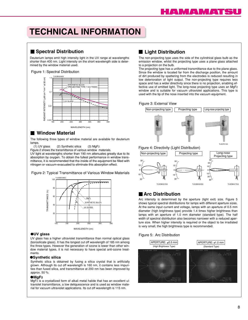## **TECHNICAL INFORMATION**

## **Spectral Distribution**

Deuterium lamps emit high intensity light in the UV range at wavelengths shorter than 400 nm. Light intensity on the short wavelength side is determined by the window material used.





## **Window Material**

The following three types of window material are available for deuterium lamps.<br>(1) UV glass

(2) Synthetic silica  $(3)$  MgF<sub>2</sub>

Figure 2 shows the transmittance of various window materials.

UV light at wavelengths shorter than 190 nm attenuates greatly due to its absorption by oxygen. To obtain the fullest performance in window transmittance, it is recommended that the inside of the equipment be filled with nitrogen or vacuum-evacuated to eliminate this absorption effect.

Figure 2: Typical Transmittance of Various Window Materials



#### ●**UV glass**

UV glass has a higher ultraviolet transmittance than normal optical glass (borosilicate glass). It has the longest cut off wavelength of 185 nm among the three types. However the generation of ozone is lower than other window material types, it is not necessary to have special anti-ozone treatments.

#### ●**Synthetic silica**

Synthetic silica is obtained by fusing a silica crystal that is artificially grown. Although its cut off wavelength is 160 nm, it contains less impurities than fused silica, and transmittance at 200 nm has been improved by approx. 50 %.

#### ●**MgF2**

MgF2 is a crystallized form of alkali metal halide that has an excellent ultraviolet transmittance, a low deliquescence and is used as window material for vacuum ultraviolet applications. Its cut off wavelength is 115 nm.

## **Light Distribution**

The non-projecting type uses the side of the cylindrical glass bulb as the emission window, whilst the projecting type uses a plane glass attached to a projection on the bulb.

The projecting type has a uniformed transmittance due to the plane glass. Since the window is located far from the discharge position, the amount of dirt produced by spattering from the electrodes is reduced resulting in low deterioration of light output. The non-projecting type requires less space and has a wider directivity since there is no projection, enabling effective use of emitted light. The long-nose projecting type uses an MgF2 window and is suitable for vacuum ultraviolet applications. This type is used with the tip of the nose inserted into the vacuum equipment.

#### Figure 3: External View



## **Arc Distribution**

Arc intensity is determined by the aperture (light exit) size. Figure 5 shows typical spectral distributions for lamps with different aperture sizes. At the same input current and voltage, lamps with an aperture of 0.5 mm diameter (high brightness type) provide 1.4 times higher brightness than lamps with an aperture of 1.0 mm diameter (standard type). The half width of spectral distribution also becomes narrower with a reduced aperture size. When higher intensity is required or the object to be irradiated is very small, the high brightness type is recommended.

#### Figure 5: Arc Distribution

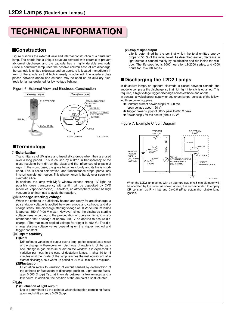## **TECHNICAL INFORMATION**

## ■**Construction**

Figure 6 shows the external view and internal construction of a deuterium lamp. The anode has a unique structure covered with ceramic to prevent abnormal discharge, and the cathode has a highly durable electrode. Since a deuterium lamp uses the positive column flash of arc discharge, the cathode is shifted sideways and an aperture is located immediately in front of the anode so that high intensity is obtained. The aperture plate placed between anode and cathode may be used as an auxiliary electrode for lamps designed for low voltage lighting.

#### Figure 6: External View and Electrode Construction



## ■**Terminology**

#### 1**Solarization**

Transmittance of UV glass and fused silica drops when they are used over a long period. This is caused by a drop in transparency of the glass resulting from dirt on the glass and the influences of ultraviolet rays. In the worst case, the glass becomes cloudy and its life is shortened. This is called solarization, and transmittance drops, particularly in short wavelength region. This phenomenon is hardly ever seen with synthetic silica.

In addition, the lamp with MgF2 window expose strong UV light, so possibly loose transparency with a film will be deposited by CVD (chemical vapor deposition). Therefore, an atmosphere should be high vacuum or an inert gas to avoid the reaction.

#### 2**Discharge starting voltage**

When the cathode is sufficiently heated and ready for arc discharge, a pulse trigger voltage is applied between anode and cathode, and discharge starts. The discharge starting voltage of 30 W deuterium lamps is approx. 350 V (400 V max.). However, since the discharge starting voltage rises according to the prolongation of operation time, it is recommended that a voltage of approx. 500 V be applied to assure discharge. (The maximum applied voltage for trigger is 650 V.) The discharge starting voltage varies depending on the trigger method and trigger constant.

#### 3**Output stability**

### **(1)Drift**

Drift refers to variation of output over a long period caused as a result of the change in thermoelectron discharge characteristic of the cathode, change in gas pressure or dirt on the window. It is expressed in variation per hour. In the case of deuterium lamps, it takes 10 to 15 minutes until the inside of the lamp reaches thermal equilibrium after start of discharge, so a warm-up period of 20 to 30 minutes is required.

#### **(2)Fluctuation**

Fluctuation refers to variation of output caused by deterioration of the cathode or fluctuation of discharge position. Light output fluctuates 0.005 %(p-p) Typ. at intervals between a few minutes and a few hours. In addition, the position of the arc point also fluctuates.

### 4**Life**

### **(1)Fluctuation of light output**

Life is determined by the point at which fluctuation combining fluctuation and shift exceeds 0.05 %p-p.

### **(2)Drop of light output**

Life is determined by the point at which the total emitted energy drops to 50 % of the initial level. As described earlier, decrease in light output is caused mainly by solarization and dirt inside the window. The life specified is 2000 hours for L2-2000 series, and 4000 hours for L2-4000 series.

## ■**Discharging the L2D2 Lamps**

In deuterium lamps, an aperture electrode is placed between cathode and anode to compress the discharge, so that high light intensity is obtained. This required, a high voltage trigger discharge across cathode and anode. In general, a typical power supply for deuterium lamps consists of the following three power supplies.

- Constant current power supply of 300 mA
- (open voltage about 150 V) ● Trigger power supply of 500 V peak to 600 V peak
- Power supply for the heater (about 10 W)
- 

#### Figure 7: Example Circuit Diagram



When the L2D2 lamp series with an aperture size of 0.5 mm diameter will be operated by the circuit as shown above, it is recommended to employ CR constant as RT=1 kΩ and CT=0.5  $\mu$ F to obtain the reliable lamp ignition.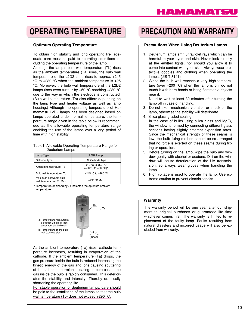## **OPERATING TEMPERATURE PRECAUTION AND WARRANTY**

#### **Optimum Operating Temperature**

To obtain high stability and long operating life, adequate care must be paid to operating conditions including the operating temperature of the lamp. Although the lamp's bulb wall temperature (Tb) rises as the ambient temperature (Ta) rises, the bulb wall temperature of the L2D2 lamp rises to approx. +245  $\degree$ C to +280  $\degree$ C when the ambient temperature is +25 °C. Moreover, the bulb wall temperature of the L2D2 lamps rises even further by +50 °C reaching +280 °C due to the way in which the electrode is constructed. (Bulb wall temperature (Tb) also differs depending on the lamp type and heater voltage as well as lamp housing.) Although the operating temperature of Hamamatsu L2D2 lamps has been designed based on lamps operated under normal temperature, the temperature range given in the table below is recommended as the allowable operating temperature range enabling the use of the lamps over a long period of time with high stability.

#### Table1: Allowable Operating Temperature Range for Deuterium Lamps

| Lamp Type                                           | L <sub>2</sub> D <sub>2</sub> Lamp                  |  |  |  |
|-----------------------------------------------------|-----------------------------------------------------|--|--|--|
| Cathode Type                                        | All Cathode type                                    |  |  |  |
| Ambient temperature: Ta                             | +10 °C to +50 $\degree$ C<br>$(+20 °C to +30 °C)^*$ |  |  |  |
| Bulb wall temperature: Tb                           | +245 °C to +280 °C                                  |  |  |  |
| Maximum allowable bulb<br>wall temperature: Tb Max. | $+290$ °C Max.                                      |  |  |  |

\*Temperature enclosed by ( ) indicates the optimum ambient temperature.



As the ambient temperature (Ta) rises, cathode temperature increases, resulting in evaporation of the cathode. If the ambient temperature (Ta) drops, the gas pressure inside the bulb is reduced increasing the kinetic energy of the gas and ions causing sputtering of the cathodes thermionic coating. In both cases, the gas inside the bulb is rapidly consumed. This deteriorates the stability and intensity. Thereby drastically shortening the operating life.

For stable operation of deuterium lamps, care should be paid to the installation of the lamps so that the bulb wall temperature (Tb) does not exceed +290 °C.

### **Precautions When Using Deuterium Lamps**

- 1. Deuterium lamps emit ultraviolet rays which can be harmful to your eyes and skin. Never look directly at the emitted lights, nor should you allow it to come into contact with your skin. Always wear protective goggles and clothing when operating the lamps. (JIS T 8141)
- 2. Since the bulb wall reaches a very high temperature (over  $+200$  °C) when the lamp is on, do not touch it with bare hands or bring flammable objects near it.

Need to wait at least 30 minutes after turning the lamp off in case of handling.

- 3. Do not exert mechanical vibration or shock on the lamp, otherwise the stability will deteriorate.
- 4. Silica glass graded sealing.

In the case of bulbs using silica glass and  $MgF<sub>2</sub>$ , the window is formed by connecting different glass sections having slightly different expansion rates. Since the mechanical strength of these seams is low, the bulb fixing method should be so arranged that no force is exerted on these seams during fixing or operation.

- 5. Before turning on the lamp, wipe the bulb and window gently with alcohol or acetone. Dirt on the window will cause deterioration of the UV transmission, so always wear gloves when handling the lamp.
- 6. High voltage is used to operate the lamp. Use extreme caution to prevent electric shocks.

### **Warranty**

The warranty period will be one year after our shipment to original purchaser or guaranteed life time whichever comes first. The warranty is limited to replacement of the faulty lamp. Faults resulting from natural disasters and incorrect usage will also be excluded from warranty.